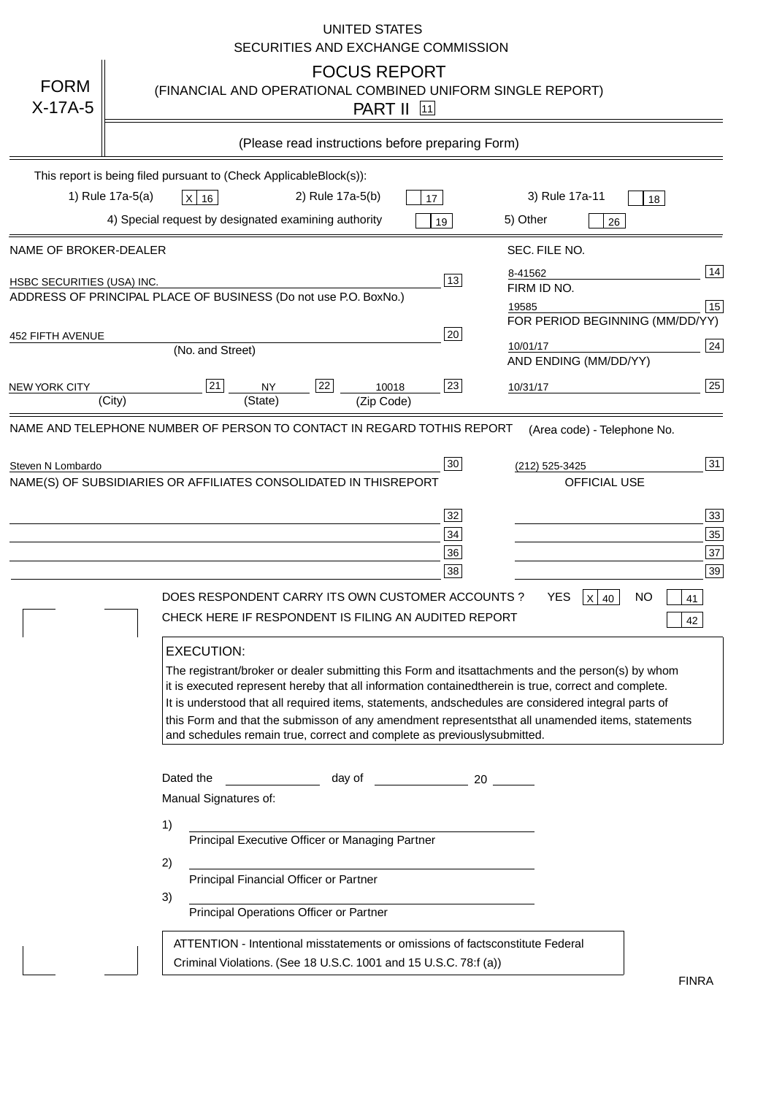|                                   | <b>UNITED STATES</b><br>SECURITIES AND EXCHANGE COMMISSION                                                                                                                                                                                                                                                                                                                                                                                                                                                                                                                                                                                                                                                                                                                                                                                                                                 |
|-----------------------------------|--------------------------------------------------------------------------------------------------------------------------------------------------------------------------------------------------------------------------------------------------------------------------------------------------------------------------------------------------------------------------------------------------------------------------------------------------------------------------------------------------------------------------------------------------------------------------------------------------------------------------------------------------------------------------------------------------------------------------------------------------------------------------------------------------------------------------------------------------------------------------------------------|
| <b>FORM</b><br>$X-17A-5$          | <b>FOCUS REPORT</b><br>(FINANCIAL AND OPERATIONAL COMBINED UNIFORM SINGLE REPORT)<br><b>PART II</b> 11                                                                                                                                                                                                                                                                                                                                                                                                                                                                                                                                                                                                                                                                                                                                                                                     |
|                                   | (Please read instructions before preparing Form)                                                                                                                                                                                                                                                                                                                                                                                                                                                                                                                                                                                                                                                                                                                                                                                                                                           |
|                                   | This report is being filed pursuant to (Check Applicable<br>$Block(s)$ :<br>3) Rule 17a-11<br>1) Rule 17a-5(a)<br>2) Rule 17a-5(b)<br>$X$ 16<br>17<br>18<br>4) Special request by designated examining authority<br>5) Other<br>19<br>26                                                                                                                                                                                                                                                                                                                                                                                                                                                                                                                                                                                                                                                   |
| NAME OF BROKER-DEALER             | SEC. FILE NO.                                                                                                                                                                                                                                                                                                                                                                                                                                                                                                                                                                                                                                                                                                                                                                                                                                                                              |
| <b>HSBC SECURITIES (USA) INC.</b> | 14<br>8-41562<br>13<br>FIRM ID NO.<br>ADDRESS OF PRINCIPAL PLACE OF BUSINESS (Do not use P.O. Box<br>No.)<br>15<br>19585<br>FOR PERIOD BEGINNING (MM/DD/YY)                                                                                                                                                                                                                                                                                                                                                                                                                                                                                                                                                                                                                                                                                                                                |
| <b>452 FIFTH AVENUE</b>           | 20<br>24<br>10/01/17<br>(No. and Street)<br>AND ENDING (MM/DD/YY)                                                                                                                                                                                                                                                                                                                                                                                                                                                                                                                                                                                                                                                                                                                                                                                                                          |
| <b>NEW YORK CITY</b>              | 25<br>22<br>21<br>23<br><b>NY</b><br>10018<br>10/31/17<br>(City)<br>(State)<br>(Zip Code)                                                                                                                                                                                                                                                                                                                                                                                                                                                                                                                                                                                                                                                                                                                                                                                                  |
|                                   | (212) 525-3425<br>NAME(S) OF SUBSIDIARIES OR AFFILIATES CONSOLIDATED IN THIS<br><b>REPORT</b><br><b>OFFICIAL USE</b><br>$\overline{33}$<br>32<br>35<br>34<br>37<br>36<br>39<br>38<br>DOES RESPONDENT CARRY ITS OWN CUSTOMER ACCOUNTS?<br><b>YES</b><br>$X$ 40<br><b>NO</b><br>41<br>CHECK HERE IF RESPONDENT IS FILING AN AUDITED REPORT<br>42<br><b>EXECUTION:</b><br>The registrant/broker or dealer submitting this Form and its<br>attachments and the person(s) by whom<br>it is executed represent hereby that all information contained<br>therein is true, correct and complete.<br>It is understood that all required items, statements, and<br>schedules are considered integral parts of<br>this Form and that the submisson of any amendment represents<br>that all unamended items, statements<br>and schedules remain true, correct and complete as previously<br>submitted. |
|                                   | Dated the<br>day of<br>20<br>Manual Signatures of:<br>1)<br>Principal Executive Officer or Managing Partner<br>2)<br>Principal Financial Officer or Partner<br>3)<br>Principal Operations Officer or Partner                                                                                                                                                                                                                                                                                                                                                                                                                                                                                                                                                                                                                                                                               |
|                                   | ATTENTION - Intentional misstatements or omissions of facts<br>constitute Federal<br>Criminal Violations. (See 18 U.S.C. 1001 and 15 U.S.C. 78:f (a)<br>$\lambda$<br><b>FINRA</b>                                                                                                                                                                                                                                                                                                                                                                                                                                                                                                                                                                                                                                                                                                          |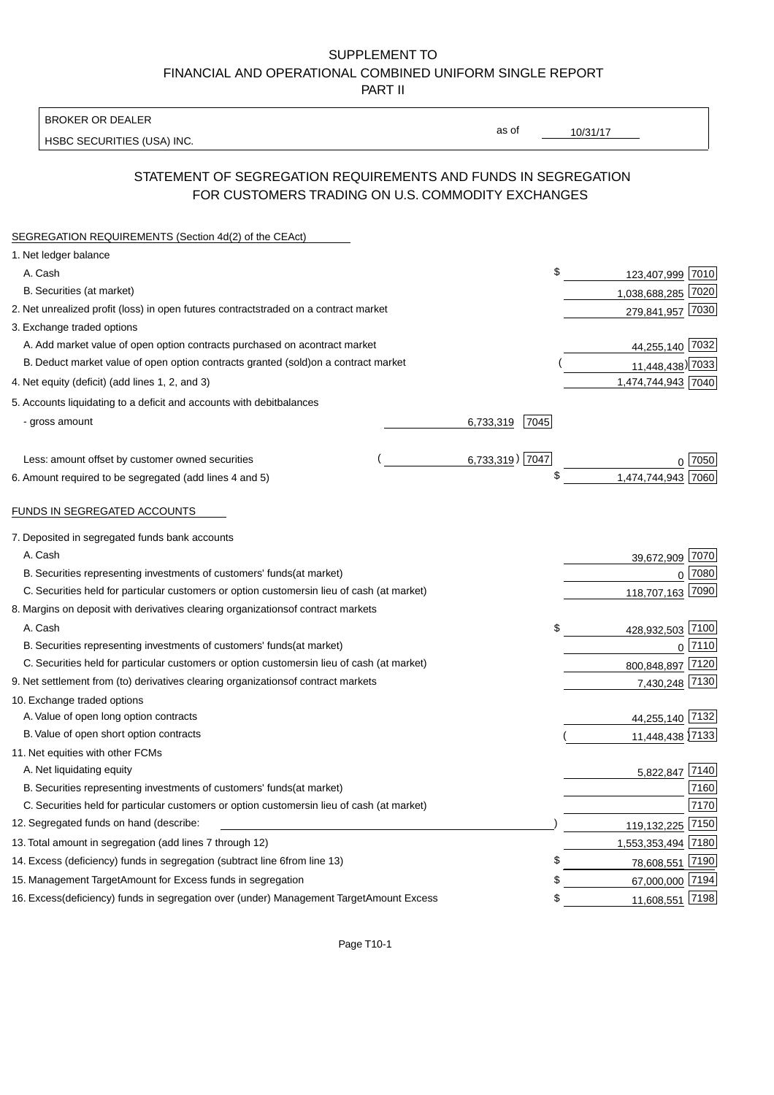BROKER OR DEALER

HSBC SECURITIES (USA) INC.

10/31/17

as of

## STATEMENT OF SEGREGATION REQUIREMENTS AND FUNDS IN SEGREGATION FOR CUSTOMERS TRADING ON U.S. COMMODITY EXCHANGES

| SEGREGATION REQUIREMENTS (Section 4d(2) of the CEAct)                                          |                              |
|------------------------------------------------------------------------------------------------|------------------------------|
| 1. Net ledger balance                                                                          |                              |
| A. Cash                                                                                        | \$<br>123,407,999 7010       |
| B. Securities (at market)                                                                      | 1,038,688,285 7020           |
| 2. Net unrealized profit (loss) in open futures contracts<br>traded on a contract market       | 279,841,957 7030             |
| 3. Exchange traded options                                                                     |                              |
| A. Add market value of open option contracts purchased on a<br>contract market                 | 44,255,140 7032              |
| B. Deduct market value of open option contracts granted (sold)<br>on a contract market         | 11,448,438) 7033             |
| 4. Net equity (deficit) (add lines 1, 2, and 3)                                                | 1,474,744,943 7040           |
| 5. Accounts liquidating to a deficit and accounts with debit<br>balances                       |                              |
| - gross amount                                                                                 | 6,733,319<br>7045            |
|                                                                                                |                              |
| Less: amount offset by customer owned securities                                               | $6,733,319$ ) 7047<br>∩ 7050 |
| 6. Amount required to be segregated (add lines 4 and 5)                                        | \$<br>1,474,744,943 7060     |
|                                                                                                |                              |
| FUNDS IN SEGREGATED ACCOUNTS                                                                   |                              |
| 7. Deposited in segregated funds bank accounts                                                 |                              |
| A. Cash                                                                                        | 7070<br>39,672,909           |
| B. Securities representing investments of customers' funds<br>(at market)                      | 7080<br>$\Omega$             |
| C. Securities held for particular customers or option customers<br>in lieu of cash (at market) | 118,707,163 7090             |
| 8. Margins on deposit with derivatives clearing organizations<br>of contract markets           |                              |
| A. Cash                                                                                        | \$<br>428,932,503 7100       |
| B. Securities representing investments of customers' funds<br>(at market)                      | 0 7110                       |
| C. Securities held for particular customers or option customers<br>in lieu of cash (at market) | 800,848,897 7120             |
| 9. Net settlement from (to) derivatives clearing organizations<br>of contract markets          | 7,430,248 7130               |
| 10. Exchange traded options                                                                    |                              |
| A. Value of open long option contracts                                                         | 44,255,140 7132              |
| B. Value of open short option contracts                                                        | 11,448,438 7133              |
| 11. Net equities with other FCMs                                                               |                              |
| A. Net liquidating equity                                                                      | 5,822,847 7140               |
| B. Securities representing investments of customers' funds<br>(at market)                      | 7160                         |
| C. Securities held for particular customers or option customers<br>in lieu of cash (at market) | 7170                         |
| 12. Segregated funds on hand (describe:                                                        | 7150<br>119,132,225          |
| 13. Total amount in segregation (add lines 7 through 12)                                       | 1,553,353,494 7180           |
| 14. Excess (deficiency) funds in segregation (subtract line 6<br>from line 13)                 | \$.<br>78,608,551 7190       |
| 15. Management Target Amount for Excess funds in segregation                                   | 67,000,000 7194<br>£         |
| 16. Excess (deficiency) funds in segregation over (under) Management Target Amount Excess      | 11,608,551 7198<br>\$        |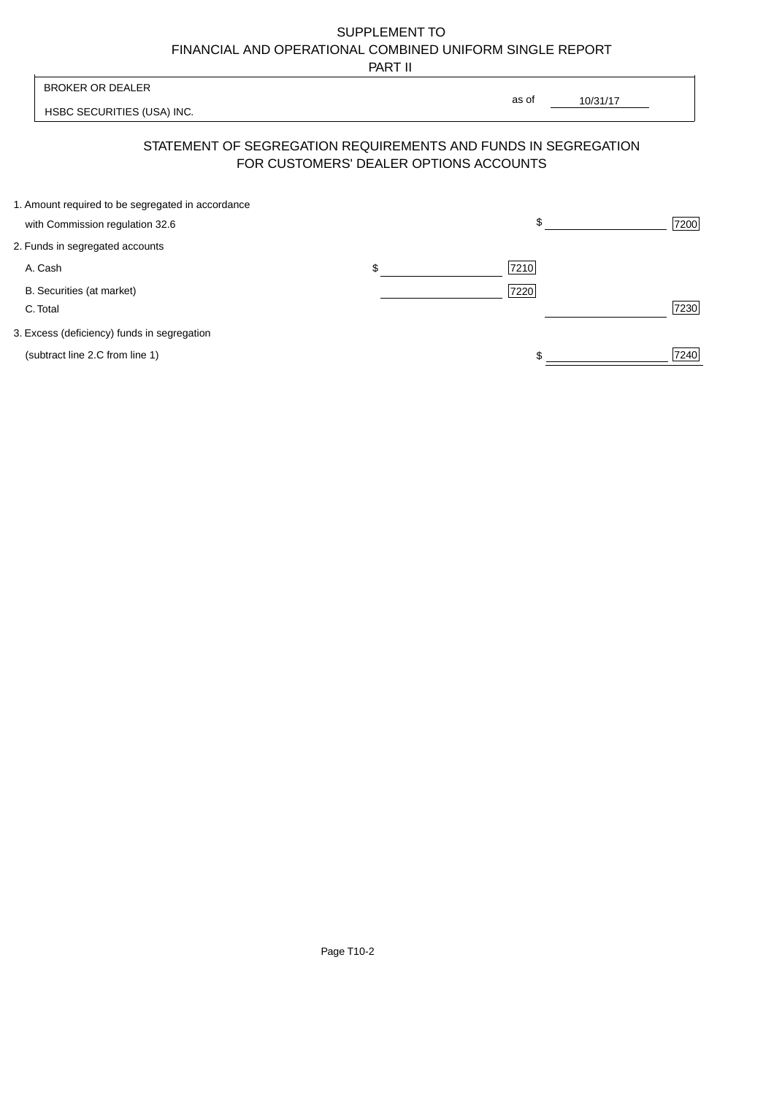PART II

 $\overline{\phantom{a}}$ 

| <b>BROKER OR DEALER</b>                                                              |                                                                                                          | as of    |      |
|--------------------------------------------------------------------------------------|----------------------------------------------------------------------------------------------------------|----------|------|
| HSBC SECURITIES (USA) INC.                                                           |                                                                                                          | 10/31/17 |      |
|                                                                                      | STATEMENT OF SEGREGATION REQUIREMENTS AND FUNDS IN SEGREGATION<br>FOR CUSTOMERS' DEALER OPTIONS ACCOUNTS |          |      |
| 1. Amount required to be segregated in accordance<br>with Commission regulation 32.6 |                                                                                                          | \$       | 7200 |
| 2. Funds in segregated accounts                                                      |                                                                                                          |          |      |
| A. Cash                                                                              | \$                                                                                                       | 7210     |      |
| B. Securities (at market)<br>C. Total                                                |                                                                                                          | 7220     | 7230 |
| 3. Excess (deficiency) funds in segregation                                          |                                                                                                          |          |      |
| (subtract line 2.C from line 1)                                                      |                                                                                                          |          | 7240 |

 $\overline{1}$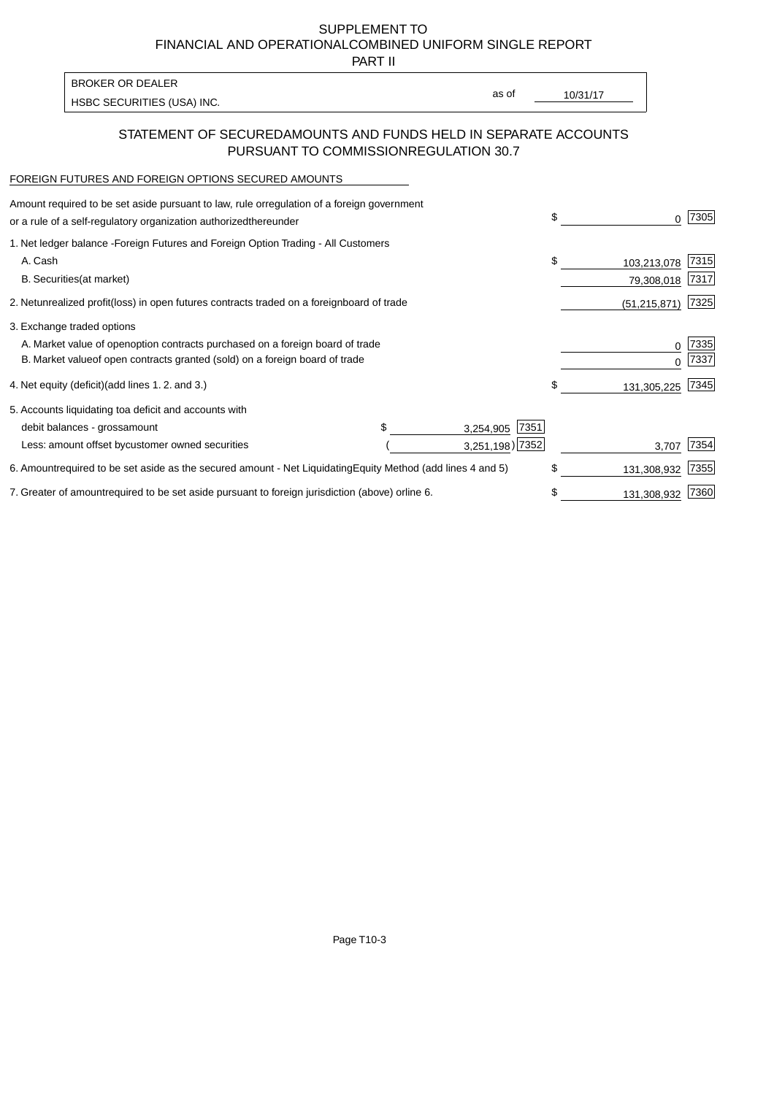PART II

HSBC SECURITIES (USA) INC. The state of the second second in the second second second in the second second second second second second second second second second second second second second second second second second sec BROKER OR DEALER

as of

### STATEMENT OF SECURED AMOUNTS AND FUNDS HELD IN SEPARATE ACCOUNTS PURSUANT TO COMMISSION REGULATION 30.7

#### FOREIGN FUTURES AND FOREIGN OPTIONS SECURED AMOUNTS

| Amount required to be set aside pursuant to law, rule or<br>regulation of a foreign government<br>or a rule of a self-regulatory organization authorized<br>thereunder                       |                                   |                    | \$<br>0                         | 7305          |
|----------------------------------------------------------------------------------------------------------------------------------------------------------------------------------------------|-----------------------------------|--------------------|---------------------------------|---------------|
| 1. Net ledger balance - Foreign Futures and Foreign Option Trading - All Customers<br>A. Cash<br><b>B.</b> Securities<br>(at market)                                                         |                                   |                    | \$<br>103,213,078<br>79,308,018 | 7315<br> 7317 |
| 2. Net unrealized profit (loss) in open futures contracts traded on a foreign                                                                                                                | board of trade                    |                    | (51, 215, 871)                  | 7325          |
| 3. Exchange traded options<br>A. Market value of open option contracts purchased on a foreign board of trade<br>B. Market value of open contracts granted (sold) on a foreign board of trade |                                   |                    | 0<br>U                          | 7335<br>7337  |
| 4. Net equity (deficit) (add lines 1.2. and 3.)                                                                                                                                              |                                   |                    | \$<br>131,305,225               | 7345          |
| 5. Accounts liquidating to a deficit and accounts with<br>debit balances - gross<br>amount                                                                                                   |                                   | 7351<br>3,254,905  |                                 |               |
| Less: amount offset by customer owned securities                                                                                                                                             |                                   | $3,251,198$ $7352$ | 3,707                           | 7354          |
| 6. Amount required to be set aside as the secured amount - Net Liquidating                                                                                                                   | Equity Method (add lines 4 and 5) |                    | \$<br>131,308,932               | 7355          |
| 7. Greater of amount required to be set aside pursuant to foreign jurisdiction (above) or                                                                                                    | line 6.                           |                    | \$<br>131,308,932               | 7360          |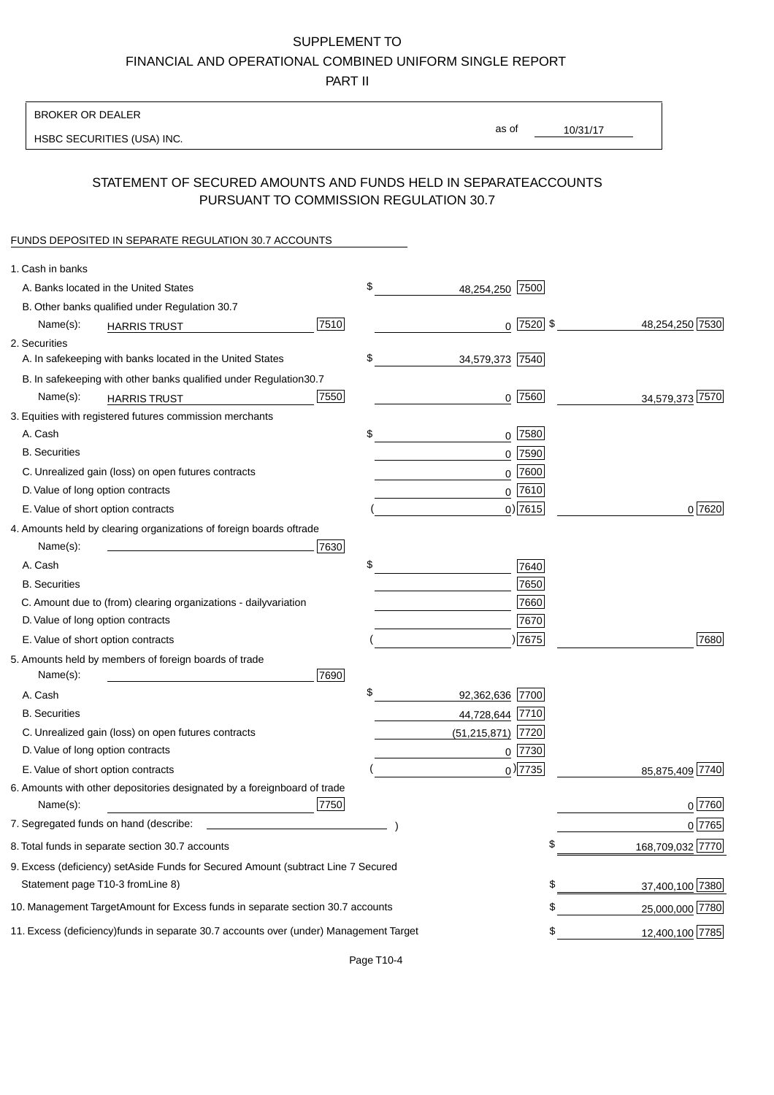PART II

| <b>BROKER OR DEALER</b>                                                                           |                       |                 |                  |
|---------------------------------------------------------------------------------------------------|-----------------------|-----------------|------------------|
| HSBC SECURITIES (USA) INC.                                                                        | as of                 | 10/31/17        |                  |
|                                                                                                   |                       |                 |                  |
| STATEMENT OF SECURED AMOUNTS AND FUNDS HELD IN SEPARATE<br>PURSUANT TO COMMISSION REGULATION 30.7 |                       | <b>ACCOUNTS</b> |                  |
| FUNDS DEPOSITED IN SEPARATE REGULATION 30.7 ACCOUNTS                                              |                       |                 |                  |
| 1. Cash in banks                                                                                  |                       |                 |                  |
| A. Banks located in the United States                                                             | \$<br>48,254,250 7500 |                 |                  |
| B. Other banks qualified under Regulation 30.7                                                    |                       |                 |                  |
| 7510<br>Name(s):<br><b>HARRIS TRUST</b>                                                           | $0$  7520  \$         |                 | 48,254,250 7530  |
| 2. Securities                                                                                     |                       |                 |                  |
| A. In safekeeping with banks located in the United States                                         | \$<br>34,579,373 7540 |                 |                  |
| B. In safekeeping with other banks qualified under Regulation<br>30.7                             |                       |                 |                  |
| 7550<br>Name(s):<br><b>HARRIS TRUST</b>                                                           | $0$ 7560              |                 | 34,579,373 7570  |
| 3. Equities with registered futures commission merchants                                          |                       |                 |                  |
| A. Cash                                                                                           | \$<br>$0$ 7580        |                 |                  |
| <b>B.</b> Securities                                                                              | 7590<br>0             |                 |                  |
| C. Unrealized gain (loss) on open futures contracts                                               | 7600<br>$\mathbf 0$   |                 |                  |
| D. Value of long option contracts                                                                 | $0$ 7610              |                 |                  |
| E. Value of short option contracts                                                                | $0)$ 7615             |                 | 0 7620           |
| 4. Amounts held by clearing organizations of foreign boards of<br>trade                           |                       |                 |                  |
| Name(s):<br>7630                                                                                  |                       |                 |                  |
| A. Cash                                                                                           | \$<br>7640            |                 |                  |
| <b>B.</b> Securities                                                                              | 7650                  |                 |                  |
| C. Amount due to (from) clearing organizations - daily<br>variation                               | 7660                  |                 |                  |
| D. Value of long option contracts                                                                 | 7670                  |                 |                  |
| E. Value of short option contracts                                                                | ) 7675                |                 | 7680             |
| 5. Amounts held by members of foreign boards of trade<br>Name(s):<br>7690                         |                       |                 |                  |
| A. Cash                                                                                           | \$<br>92,362,636 7700 |                 |                  |
| <b>B.</b> Securities                                                                              | 44,728,644 7710       |                 |                  |
| C. Unrealized gain (loss) on open futures contracts                                               | $(51, 215, 871)$ 7720 |                 |                  |
| D. Value of long option contracts                                                                 | $0$ 7730              |                 |                  |
| E. Value of short option contracts                                                                | $_0$ ) 7735           |                 | 85,875,409 7740  |
| 6. Amounts with other depositories designated by a foreign<br>board of trade<br>7750<br>Name(s):  |                       |                 | 0 7760           |
| 7. Segregated funds on hand (describe:                                                            |                       |                 | 0 7765           |
| 8. Total funds in separate section 30.7 accounts                                                  |                       | \$              | 168,709,032 7770 |
| 9. Excess (deficiency) set Aside Funds for Secured Amount (subtract Line 7 Secured                |                       |                 |                  |
| Statement page T10-3 from Line 8)                                                                 |                       | \$              | 37,400,100 7380  |
| 10. Management Target Amount for Excess funds in separate section 30.7 accounts                   |                       | \$              | 25,000,000 7780  |
|                                                                                                   |                       |                 |                  |
| 11. Excess (deficiency) funds in separate 30.7 accounts over (under) Management Target            |                       | \$              | 12,400,100 7785  |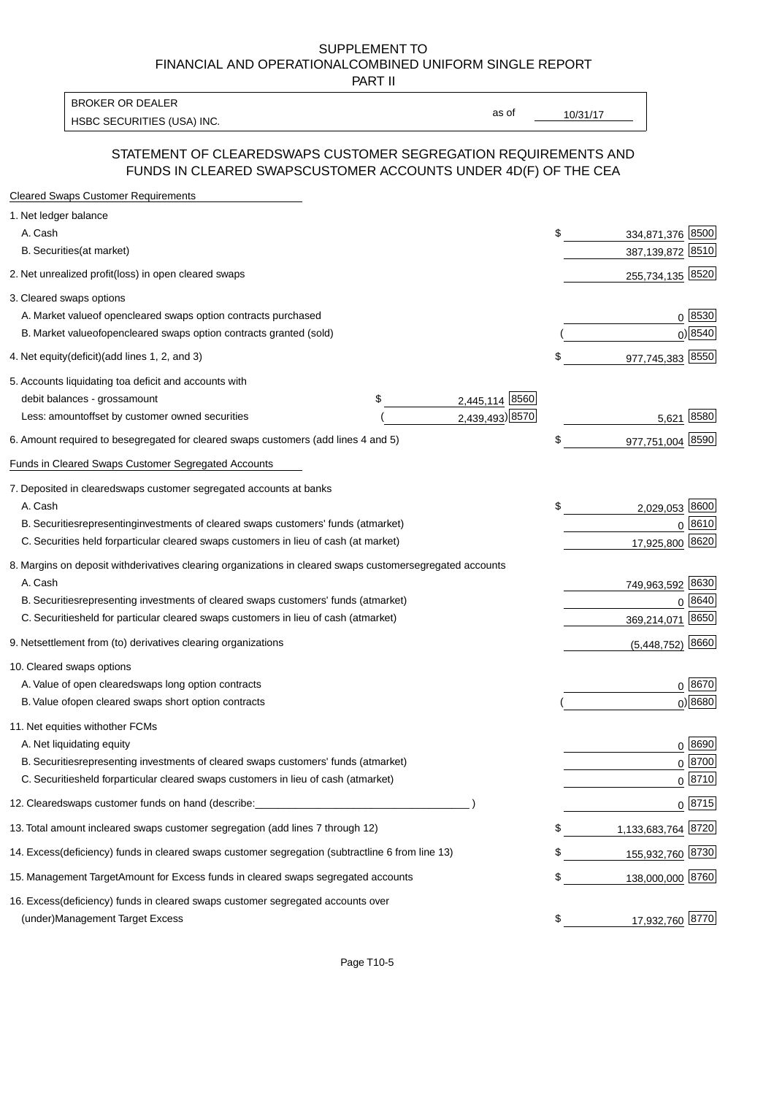PART II

HSBC SECURITIES (USA) INC. The state of the state of the state of the state of the state of the state of the state of the state of the state of the state of the state of the state of the state of the state of the state of BROKER OR DEALER

as of

#### STATEMENT OF CLEARED SWAPS CUSTOMER SEGREGATION REQUIREMENTS AND FUNDS IN CLEARED SWAPS CUSTOMER ACCOUNTS UNDER 4D(F) OF THE CEA

| <b>Cleared Swaps Customer Requirements</b>                                                                  |                          |
|-------------------------------------------------------------------------------------------------------------|--------------------------|
| 1. Net ledger balance                                                                                       |                          |
| A. Cash                                                                                                     | \$<br>334,871,376 8500   |
| B. Securities (at market)                                                                                   | 387,139,872 8510         |
| 2. Net unrealized profit (loss) in open cleared swaps                                                       | 255,734,135 8520         |
| 3. Cleared swaps options                                                                                    |                          |
| A. Market value of open cleared swaps option contracts purchased                                            | 0   8530                 |
| B. Market value of open cleared swaps option contracts granted (sold)                                       | $0)$ 8540                |
| 4. Net equity (deficit) (add lines 1, 2, and 3)                                                             | \$<br>977,745,383 8550   |
| 5. Accounts liquidating to a deficit and accounts with                                                      |                          |
| 2,445,114 8560<br>debit balances - gross amount<br>\$                                                       |                          |
| 2,439,493) 8570<br>Less: amount offset by customer owned securities                                         | 5,621 8580               |
| 6. Amount required to be segregated for cleared swaps customers (add lines 4 and 5)                         | \$<br>977,751,004 8590   |
| Funds in Cleared Swaps Customer Segregated Accounts                                                         |                          |
| 7. Deposited in cleared swaps customer segregated accounts at banks                                         |                          |
| A. Cash                                                                                                     | \$<br>2,029,053 8600     |
| B. Securities representing investments of cleared swaps customers' funds (at market)                        | 0 8610                   |
| C. Securities held for particular cleared swaps customers in lieu of cash (at market)                       | 17,925,800 8620          |
| 8. Margins on deposit with derivatives clearing organizations in cleared swaps customer segregated accounts |                          |
| A. Cash                                                                                                     | 749,963,592 8630         |
| B. Securities representing investments of cleared swaps customers' funds (at market)                        | 8640<br>0                |
| C. Securities<br>held for particular cleared swaps customers in lieu of cash (at market)                    | 8650<br>369,214,071      |
| 9. Net settlement from (to) derivatives clearing organizations                                              | $(5,448,752)$ 8660       |
| 10. Cleared swaps options                                                                                   |                          |
| A. Value of open cleared swaps long option contracts                                                        | $0^{8670}$               |
| B. Value of open cleared swaps short option contracts                                                       | $0$ ) 8680               |
| 11. Net equities with other FCMs                                                                            |                          |
| A. Net liquidating equity                                                                                   | $0^{8690}$               |
| B. Securities representing investments of cleared swaps customers' funds (at market)                        | $0 \frac{8700}{ }$       |
| C. Securities held for particular cleared swaps customers in lieu of cash (at market)                       | 0 8710                   |
| 12. Cleared swaps customer funds on hand (describe:                                                         | $0 \;  8715 $            |
| 13. Total amount in cleared swaps customer segregation (add lines 7 through 12)                             | \$<br>1,133,683,764 8720 |
| 14. Excess (deficiency) funds in cleared swaps customer segregation (subtract line 6 from line 13)          | 155,932,760 8730         |
| 15. Management Target Amount for Excess funds in cleared swaps segregated accounts                          | \$<br>138,000,000 8760   |
| 16. Excess<br>(deficiency) funds in cleared swaps customer segregated accounts over                         |                          |
| <b>Management Target Excess</b><br>(under)                                                                  | \$<br>17,932,760 8770    |